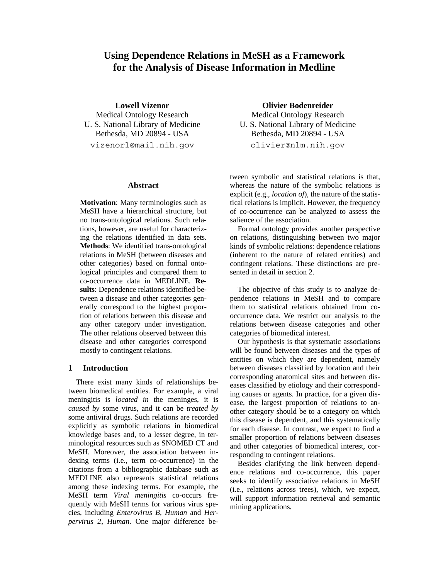# **Using Dependence Relations in MeSH as a Framework for the Analysis of Disease Information in Medline**

**Lowell Vizenor** 

Medical Ontology Research U. S. National Library of Medicine Bethesda, MD 20894 - USA vizenorl@mail.nih.gov

### **Abstract**

**Motivation**: Many terminologies such as MeSH have a hierarchical structure, but no trans-ontological relations. Such relations, however, are useful for characterizing the relations identified in data sets. **Methods**: We identified trans-ontological relations in MeSH (between diseases and other categories) based on formal ontological principles and compared them to co-occurrence data in MEDLINE. **Results**: Dependence relations identified between a disease and other categories generally correspond to the highest proportion of relations between this disease and any other category under investigation. The other relations observed between this disease and other categories correspond mostly to contingent relations.

# **1 Introduction**

There exist many kinds of relationships between biomedical entities. For example, a viral meningitis is *located in* the meninges, it is *caused by* some virus, and it can be *treated by* some antiviral drugs. Such relations are recorded explicitly as symbolic relations in biomedical knowledge bases and, to a lesser degree, in terminological resources such as SNOMED CT and MeSH. Moreover, the association between indexing terms (i.e., term co-occurrence) in the citations from a bibliographic database such as MEDLINE also represents statistical relations among these indexing terms. For example, the MeSH term *Viral meningitis* co-occurs frequently with MeSH terms for various virus species, including *Enterovirus B, Human* and *Herpervirus 2, Human*. One major difference be**Olivier Bodenreider** 

Medical Ontology Research U. S. National Library of Medicine Bethesda, MD 20894 - USA olivier@nlm.nih.gov

tween symbolic and statistical relations is that, whereas the nature of the symbolic relations is explicit (e.g., *location of*), the nature of the statistical relations is implicit. However, the frequency of co-occurrence can be analyzed to assess the salience of the association.

Formal ontology provides another perspective on relations, distinguishing between two major kinds of symbolic relations: dependence relations (inherent to the nature of related entities) and contingent relations. These distinctions are presented in detail in section 2.

The objective of this study is to analyze dependence relations in MeSH and to compare them to statistical relations obtained from cooccurrence data. We restrict our analysis to the relations between disease categories and other categories of biomedical interest.

Our hypothesis is that systematic associations will be found between diseases and the types of entities on which they are dependent, namely between diseases classified by location and their corresponding anatomical sites and between diseases classified by etiology and their corresponding causes or agents. In practice, for a given disease, the largest proportion of relations to another category should be to a category on which this disease is dependent, and this systematically for each disease. In contrast, we expect to find a smaller proportion of relations between diseases and other categories of biomedical interest, corresponding to contingent relations.

Besides clarifying the link between dependence relations and co-occurrence, this paper seeks to identify associative relations in MeSH (i.e., relations across trees), which, we expect, will support information retrieval and semantic mining applications.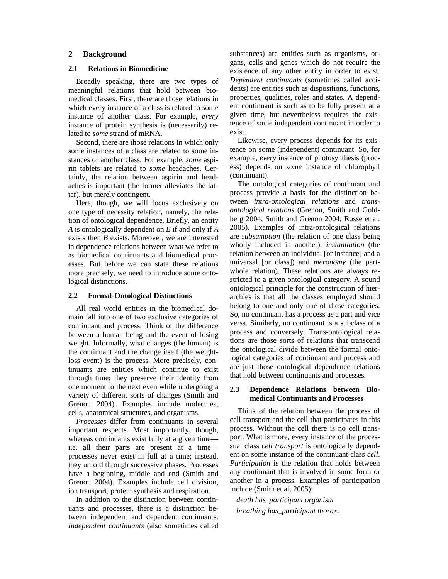### **2 Background**

### **2.1 Relations in Biomedicine**

Broadly speaking, there are two types of meaningful relations that hold between biomedical classes. First, there are those relations in which every instance of a class is related to some instance of another class. For example, *every* instance of protein synthesis is (necessarily) related to *some* strand of mRNA.

Second, there are those relations in which only some instances of a class are related to some instances of another class. For example, *some* aspirin tablets are related to *some* headaches. Certainly, the relation between aspirin and headaches is important (the former alleviates the latter), but merely contingent.

Here, though, we will focus exclusively on one type of necessity relation, namely, the relation of ontological dependence. Briefly, an entity *A* is ontologically dependent on *B* if and only if *A* exists then *B* exists. Moreover, we are interested in dependence relations between what we refer to as biomedical continuants and biomedical processes. But before we can state these relations more precisely, we need to introduce some ontological distinctions.

#### **2.2 Formal-Ontological Distinctions**

All real world entities in the biomedical domain fall into one of two exclusive categories of continuant and process. Think of the difference between a human being and the event of losing weight. Informally, what changes (the human) is the continuant and the change itself (the weightloss event) is the process. More precisely, continuants are entities which continue to exist through time; they preserve their identity from one moment to the next even while undergoing a variety of different sorts of changes (Smith and Grenon 2004). Examples include molecules, cells, anatomical structures, and organisms.

*Processes* differ from continuants in several important respects. Most importantly, though, whereas continuants exist fully at a given time i.e. all their parts are present at a time processes never exist in full at a time; instead, they unfold through successive phases. Processes have a beginning, middle and end (Smith and Grenon 2004). Examples include cell division, ion transport, protein synthesis and respiration.

In addition to the distinction between continuants and processes, there is a distinction between independent and dependent continuants. *Independent continuants* (also sometimes called substances) are entities such as organisms, organs, cells and genes which do not require the existence of any other entity in order to exist. *Dependent continuants* (sometimes called accidents) are entities such as dispositions, functions, properties, qualities, roles and states. A dependent continuant is such as to be fully present at a given time, but nevertheless requires the existence of some independent continuant in order to exist.

Likewise, every process depends for its existence on some (independent) continuant. So, for example, *every* instance of photosynthesis (process) depends on *some* instance of chlorophyll (continuant).

The ontological categories of continuant and process provide a basis for the distinction between *intra-ontological relations* and *transontological relations* (Grenon, Smith and Goldberg 2004; Smith and Grenon 2004; Rosse et al. 2005). Examples of intra-ontological relations are *subsumption* (the relation of one class being wholly included in another), *instantiation* (the relation between an individual [or instance] and a universal [or class]) and *meronomy* (the partwhole relation). These relations are always restricted to a given ontological category. A sound ontological principle for the construction of hierarchies is that all the classes employed should belong to one and only one of these categories. So, no continuant has a process as a part and vice versa. Similarly, no continuant is a subclass of a process and conversely. Trans-ontological relations are those sorts of relations that transcend the ontological divide between the formal ontological categories of continuant and process and are just those ontological dependence relations that hold between continuants and processes.

### **2.3 Dependence Relations between Biomedical Continuants and Processes**

Think of the relation between the process of cell transport and the cell that participates in this process. Without the cell there is no cell transport. What is more, every instance of the processual class *cell transport* is ontologically dependent on some instance of the continuant class *cell*. *Participation* is the relation that holds between any continuant that is involved in some form or another in a process. Examples of participation include (Smith et al. 2005):

*death has\_participant organism breathing has\_participant thorax*.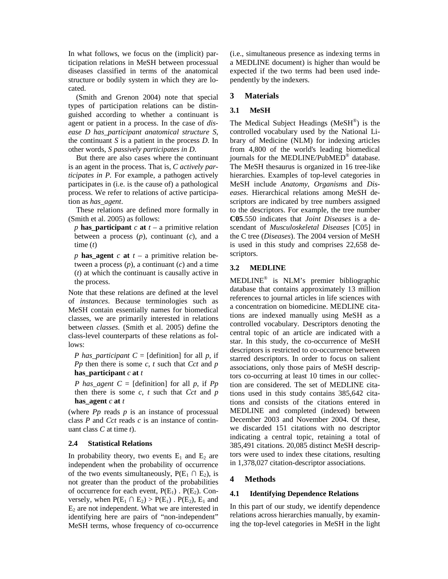In what follows, we focus on the (implicit) participation relations in MeSH between processual diseases classified in terms of the anatomical structure or bodily system in which they are located.

(Smith and Grenon 2004) note that special types of participation relations can be distinguished according to whether a continuant is agent or patient in a process. In the case of *disease D has\_participant anatomical structure S*, the continuant *S* is a patient in the process *D*. In other words, *S passively participates in D*.

But there are also cases where the continuant is an agent in the process. That is, *C actively participates in P.* For example, a pathogen actively participates in (i.e. is the cause of) a pathological process. We refer to relations of active participation as *has\_agent*.

These relations are defined more formally in (Smith et al. 2005) as follows:

*p* **has\_participant**  $c$  **at**  $t - a$  primitive relation between a process (*p*), continuant (*c*), and a time (*t*)

*p* **has\_agent**  $c$  **at**  $t - a$  primitive relation between a process  $(p)$ , a continuant  $(c)$  and a time (*t*) at which the continuant is causally active in the process.

Note that these relations are defined at the level of *instances*. Because terminologies such as MeSH contain essentially names for biomedical classes, we are primarily interested in relations between *classes*. (Smith et al. 2005) define the class-level counterparts of these relations as follows:

*P has\_participant C* = [definition] for all *p*, if *Pp* then there is some *c*, *t* such that *Cct* and *p* **has\_participant** *c* **at** *t*

*P* has agent  $C = [definition]$  for all *p*, if *Pp* then there is some *c*, *t* such that *Cct* and *p* **has\_agent** *c* **at** *t*

(where  $P_p$  reads  $p$  is an instance of processual class *P* and *Cct* reads *c* is an instance of continuant class *C* at time *t*).

# **2.4 Statistical Relations**

In probability theory, two events  $E_1$  and  $E_2$  are independent when the probability of occurrence of the two events simultaneously,  $P(E_1 \cap E_2)$ , is not greater than the product of the probabilities of occurrence for each event,  $P(E_1)$ .  $P(E_2)$ . Conversely, when  $P(E_1 \cap E_2) > P(E_1)$ .  $P(E_2)$ ,  $E_1$  and  $E<sub>2</sub>$  are not independent. What we are interested in identifying here are pairs of "non-independent" MeSH terms, whose frequency of co-occurrence (i.e., simultaneous presence as indexing terms in a MEDLINE document) is higher than would be expected if the two terms had been used independently by the indexers.

# **3 Materials**

# **3.1 MeSH**

The Medical Subject Headings (MeSH®) is the controlled vocabulary used by the National Library of Medicine (NLM) for indexing articles from 4,800 of the world's leading biomedical journals for the MEDLINE/PubMED® database. The MeSH thesaurus is organized in 16 tree-like hierarchies. Examples of top-level categories in MeSH include *Anatomy*, *Organisms* and *Diseases*. Hierarchical relations among MeSH descriptors are indicated by tree numbers assigned to the descriptors. For example, the tree number **C05**.550 indicates that *Joint Diseases* is a descendant of *Musculoskeletal Diseases* [C05] in the C tree (*Diseases*). The 2004 version of MeSH is used in this study and comprises 22,658 descriptors.

# **3.2 MEDLINE**

MEDLINE® is NLM's premier bibliographic database that contains approximately 13 million references to journal articles in life sciences with a concentration on biomedicine. MEDLINE citations are indexed manually using MeSH as a controlled vocabulary. Descriptors denoting the central topic of an article are indicated with a star. In this study, the co-occurrence of MeSH descriptors is restricted to co-occurrence between starred descriptors. In order to focus on salient associations, only those pairs of MeSH descriptors co-occurring at least 10 times in our collection are considered. The set of MEDLINE citations used in this study contains 385,642 citations and consists of the citations entered in MEDLINE and completed (indexed) between December 2003 and November 2004. Of these, we discarded 151 citations with no descriptor indicating a central topic, retaining a total of 385,491 citations. 20,085 distinct MeSH descriptors were used to index these citations, resulting in 1,378,027 citation-descriptor associations.

# **4 Methods**

# **4.1 Identifying Dependence Relations**

In this part of our study, we identify dependence relations across hierarchies manually, by examining the top-level categories in MeSH in the light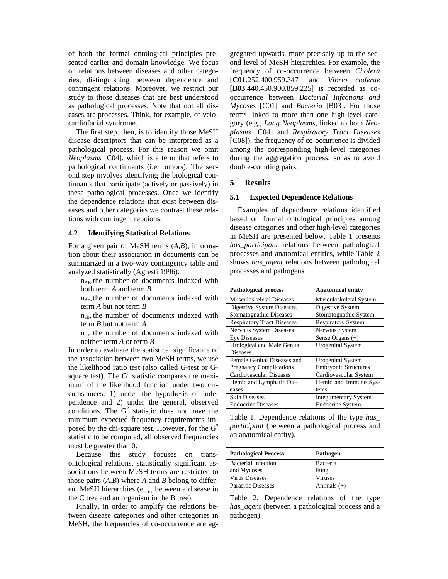of both the formal ontological principles presented earlier and domain knowledge. We focus on relations between diseases and other categories, distinguishing between dependence and contingent relations. Moreover, we restrict our study to those diseases that are best understood as pathological processes. Note that not all diseases are processes. Think, for example, of velocardiofacial syndrome.

The first step, then, is to identify those MeSH disease descriptors that can be interpreted as a pathological process. For this reason we omit *Neoplasms* [C04], which is a term that refers to pathological continuants (i.e, tumors). The second step involves identifying the biological continuants that participate (actively or passively) in these pathological processes. Once we identify the dependence relations that exist between diseases and other categories we contrast these relations with contingent relations.

#### **4.2 Identifying Statistical Relations**

For a given pair of MeSH terms (*A*,*B*), information about their association in documents can be summarized in a two-way contingency table and analyzed statistically (Agresti 1996):

 $n_{AB}$ , the number of documents indexed with both term *A* and term *B*

 $n_{Ab}$ , the number of documents indexed with term *A* but not term *B*

 $n_{aB}$ , the number of documents indexed with term *B* but not term *A*

 $n_{ab}$ , the number of documents indexed with neither term *A* or term *B*

In order to evaluate the statistical significance of the association between two MeSH terms, we use the likelihood ratio test (also called G-test or Gsquare test). The  $G<sup>2</sup>$  statistic compares the maximum of the likelihood function under two circumstances: 1) under the hypothesis of independence and 2) under the general, observed conditions. The  $G<sup>2</sup>$  statistic does not have the minimum expected frequency requirements imposed by the chi-square test. However, for the  $G<sup>2</sup>$ statistic to be computed, all observed frequencies must be greater than 0.

Because this study focuses on transontological relations, statistically significant associations between MeSH terms are restricted to those pairs (*A*,*B*) where *A* and *B* belong to different MeSH hierarchies (e.g., between a disease in the C tree and an organism in the B tree).

Finally, in order to amplify the relations between disease categories and other categories in MeSH, the frequencies of co-occurrence are aggregated upwards, more precisely up to the second level of MeSH hierarchies. For example, the frequency of co-occurrence between *Cholera* [**C01**.252.400.959.347] and *Vibrio clolerae* [**B03**.440.450.900.859.225] is recorded as cooccurrence between *Bacterial Infections and Mycoses* [C01] and *Bacteria* [B03]. For those terms linked to more than one high-level category (e.g., *Lung Neoplasms*, linked to both *Neoplasms* [C04] and *Respiratory Tract Diseases*  [C08]), the frequency of co-occurrence is divided among the corresponding high-level categories during the aggregation process, so as to avoid double-counting pairs.

#### **5 Results**

### **5.1 Expected Dependence Relations**

Examples of dependence relations identified based on formal ontological principles among disease categories and other high-level categories in MeSH are presented below. Table 1 presents *has\_participant* relations between pathological processes and anatomical entities, while Table 2 shows *has\_agent* relations between pathological processes and pathogens.

| <b>Pathological process</b>       | <b>Anatomical entity</b>    |
|-----------------------------------|-----------------------------|
| <b>Musculoskeletal Diseases</b>   | Musculoskeletal System      |
| Digestive System Diseases         | Digestive System            |
| Stomatognathic Diseases           | Stomatognathic System       |
| <b>Respiratory Tract Diseases</b> | <b>Respiratory System</b>   |
| Nervous System Diseases           | Nervous System              |
| <b>Eye Diseases</b>               | Sense Organs $(+)$          |
| Urological and Male Genital       | <b>Urogenital System</b>    |
| <b>Diseases</b>                   |                             |
| Female Genital Diseases and       | <b>Urogenital System</b>    |
| <b>Pregnancy Complications</b>    | <b>Embryonic Structures</b> |
| Cardiovascular Diseases           | Cardiovascular System       |
| Hemic and Lymphatic Dis-          | Hemic and Immune Sys-       |
| eases                             | tems                        |
| <b>Skin Diseases</b>              | <b>Integumentary System</b> |
| <b>Endocrine Diseases</b>         | <b>Endocrine System</b>     |

Table 1. Dependence relations of the type *has\_ participant* (between a pathological process and an anatomical entity).

| <b>Pathological Process</b> | Pathogen       |
|-----------------------------|----------------|
| <b>Bacterial Infection</b>  | Bacteria       |
| and Mycoses                 | Fungi          |
| <b>Virus Diseases</b>       | <b>Viruses</b> |
| Parasitic Diseases          | Animals $(+)$  |

Table 2. Dependence relations of the type *has\_agent* (between a pathological process and a pathogen).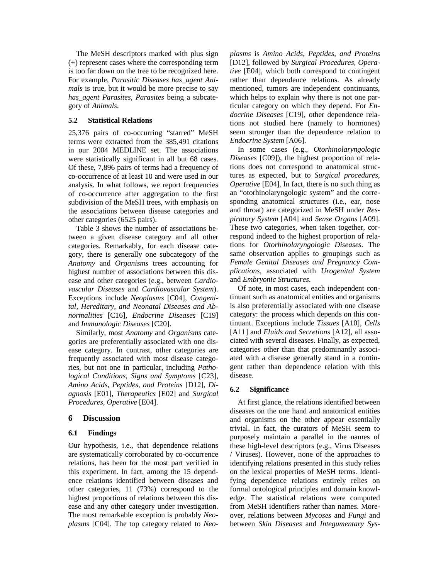The MeSH descriptors marked with plus sign (+) represent cases where the corresponding term is too far down on the tree to be recognized here. For example, *Parasitic Diseases has\_agent Animals* is true, but it would be more precise to say *has\_agent Parasites*, *Parasites* being a subcategory of *Animals*.

### **5.2 Statistical Relations**

25,376 pairs of co-occurring "starred" MeSH terms were extracted from the 385,491 citations in our 2004 MEDLINE set. The associations were statistically significant in all but 68 cases. Of these, 7,896 pairs of terms had a frequency of co-occurrence of at least 10 and were used in our analysis. In what follows, we report frequencies of co-occurrence after aggregation to the first subdivision of the MeSH trees, with emphasis on the associations between disease categories and other categories (6525 pairs).

Table 3 shows the number of associations between a given disease category and all other categories. Remarkably, for each disease category, there is generally one subcategory of the *Anatomy* and *Organisms* trees accounting for highest number of associations between this disease and other categories (e.g., between *Cardiovascular Diseases* and *Cardiovascular System*). Exceptions include *Neoplasms* [C04], *Congenital, Hereditary, and Neonatal Diseases and Abnormalities* [C16], *Endocrine Diseases* [C19] and *Immunologic Diseases* [C20].

Similarly, most *Anatomy* and *Organisms* categories are preferentially associated with one disease category. In contrast, other categories are frequently associated with most disease categories, but not one in particular, including *Pathological Conditions, Signs and Symptoms* [C23], *Amino Acids, Peptides, and Proteins* [D12], *Diagnosis* [E01], *Therapeutics* [E02] and *Surgical Procedures, Operative* [E04].

# **6 Discussion**

# **6.1 Findings**

Our hypothesis, i.e., that dependence relations are systematically corroborated by co-occurrence relations, has been for the most part verified in this experiment. In fact, among the 15 dependence relations identified between diseases and other categories, 11 (73%) correspond to the highest proportions of relations between this disease and any other category under investigation. The most remarkable exception is probably *Neoplasms* [C04]. The top category related to *Neo-* *plasms* is *Amino Acids, Peptides, and Proteins* [D12], followed by *Surgical Procedures, Operative* [E04], which both correspond to contingent rather than dependence relations. As already mentioned*,* tumors are independent continuants, which helps to explain why there is not one particular category on which they depend. For *Endocrine Diseases* [C19], other dependence relations not studied here (namely to hormones) seem stronger than the dependence relation to *Endocrine System* [A06].

In some cases (e.g., *Otorhinolaryngologic Diseases* [C09]), the highest proportion of relations does not correspond to anatomical structures as expected, but to *Surgical procedures, Operative* [E04]. In fact, there is no such thing as an "otorhinolaryngologic system" and the corresponding anatomical structures (i.e., ear, nose and throat) are categorized in MeSH under *Respiratory System* [A04] and *Sense Organs* [A09]. These two categories, when taken together, correspond indeed to the highest proportion of relations for *Otorhinolaryngologic Diseases*. The same observation applies to groupings such as *Female Genital Diseases and Pregnancy Complications*, associated with *Urogenital System* and *Embryonic Structures*.

Of note, in most cases, each independent continuant such as anatomical entities and organisms is also preferentially associated with one disease category: the process which depends on this continuant. Exceptions include *Tissues* [A10], *Cells* [A11] and *Fluids and Secretions* [A12], all associated with several diseases. Finally, as expected, categories other than that predominantly associated with a disease generally stand in a contingent rather than dependence relation with this disease.

# **6.2 Significance**

At first glance, the relations identified between diseases on the one hand and anatomical entities and organisms on the other appear essentially trivial. In fact, the curators of MeSH seem to purposely maintain a parallel in the names of these high-level descriptors (e.g., Virus Diseases / Viruses). However, none of the approaches to identifying relations presented in this study relies on the lexical properties of MeSH terms. Identifying dependence relations entirely relies on formal ontological principles and domain knowledge. The statistical relations were computed from MeSH identifiers rather than names. Moreover, relations between *Mycoses* and *Fungi* and between *Skin Diseases* and *Integumentary Sys-*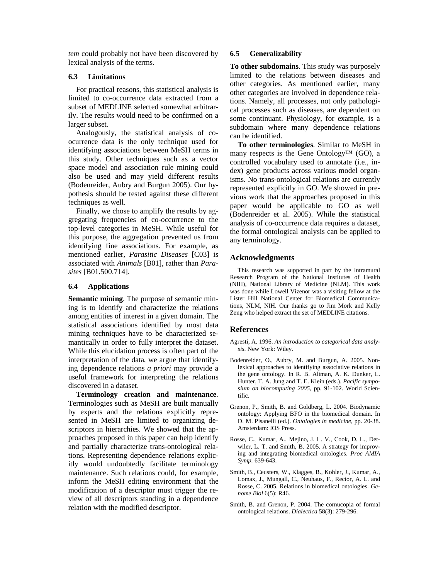*tem* could probably not have been discovered by lexical analysis of the terms.

### **6.3 Limitations**

For practical reasons, this statistical analysis is limited to co-occurrence data extracted from a subset of MEDLINE selected somewhat arbitrarily. The results would need to be confirmed on a larger subset.

Analogously, the statistical analysis of coocurrence data is the only technique used for identifying associations between MeSH terms in this study. Other techniques such as a vector space model and association rule mining could also be used and may yield different results (Bodenreider, Aubry and Burgun 2005). Our hypothesis should be tested against these different techniques as well.

Finally, we chose to amplify the results by aggregating frequencies of co-occurrence to the top-level categories in MeSH. While useful for this purpose, the aggregation prevented us from identifying fine associations. For example, as mentioned earlier, *Parasitic Diseases* [C03] is associated with *Animals* [B01], rather than *Parasites* [B01.500.714].

### **6.4 Applications**

**Semantic mining**. The purpose of semantic mining is to identify and characterize the relations among entities of interest in a given domain. The statistical associations identified by most data mining techniques have to be characterized semantically in order to fully interpret the dataset. While this elucidation process is often part of the interpretation of the data, we argue that identifying dependence relations *a priori* may provide a useful framework for interpreting the relations discovered in a dataset.

**Terminology creation and maintenance**. Terminologies such as MeSH are built manually by experts and the relations explicitly represented in MeSH are limited to organizing descriptors in hierarchies. We showed that the approaches proposed in this paper can help identify and partially characterize trans-ontological relations. Representing dependence relations explicitly would undoubtedly facilitate terminology maintenance. Such relations could, for example, inform the MeSH editing environment that the modification of a descriptor must trigger the review of all descriptors standing in a dependence relation with the modified descriptor.

### **6.5 Generalizability**

**To other subdomains**. This study was purposely limited to the relations between diseases and other categories. As mentioned earlier, many other categories are involved in dependence relations. Namely, all processes, not only pathological processes such as diseases, are dependent on some continuant. Physiology, for example, is a subdomain where many dependence relations can be identified.

**To other terminologies**. Similar to MeSH in many respects is the Gene Ontology™ (GO), a controlled vocabulary used to annotate (i.e., index) gene products across various model organisms. No trans-ontological relations are currently represented explicitly in GO. We showed in previous work that the approaches proposed in this paper would be applicable to GO as well (Bodenreider et al. 2005). While the statistical analysis of co-occurrence data requires a dataset, the formal ontological analysis can be applied to any terminology.

# **Acknowledgments**

This research was supported in part by the Intramural Research Program of the National Institutes of Health (NIH), National Library of Medicine (NLM). This work was done while Lowell Vizenor was a visiting fellow at the Lister Hill National Center for Biomedical Communications, NLM, NIH. Our thanks go to Jim Mork and Kelly Zeng who helped extract the set of MEDLINE citations.

# **References**

- Agresti, A. 1996. *An introduction to categorical data analysis*. New York: Wiley.
- Bodenreider, O., Aubry, M. and Burgun, A. 2005. Nonlexical approaches to identifying associative relations in the gene ontology. In R. B. Altman, A. K. Dunker, L. Hunter, T. A. Jung and T. E. Klein (eds.). *Pacific symposium on biocomputing 2005*, pp. 91-102. World Scientific.
- Grenon, P., Smith, B. and Goldberg, L. 2004. Biodynamic ontology: Applying BFO in the biomedical domain. In D. M. Pisanelli (ed.). *Ontologies in medicine*, pp. 20-38. Amsterdam: IOS Press.
- Rosse, C., Kumar, A., Mejino, J. L. V., Cook, D. L., Detwiler, L. T. and Smith, B. 2005. A strategy for improving and integrating biomedical ontologies. *Proc AMIA Symp*: 639-643.
- Smith, B., Ceusters, W., Klagges, B., Kohler, J., Kumar, A., Lomax, J., Mungall, C., Neuhaus, F., Rector, A. L. and Rosse, C. 2005. Relations in biomedical ontologies. *Genome Biol* 6(5): R46.
- Smith, B. and Grenon, P. 2004. The cornucopia of formal ontological relations. *Dialectica* 58(3): 279-296.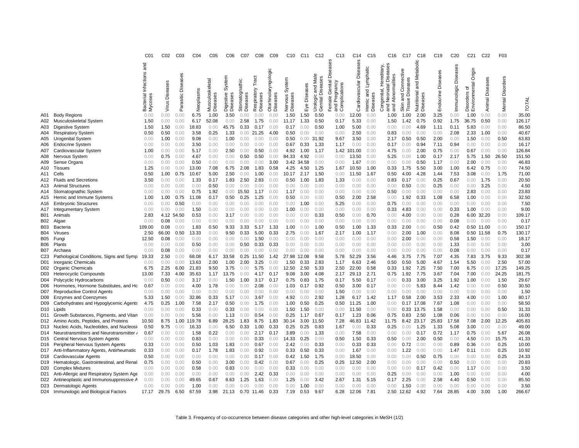|                 |                                                                             | CO <sub>1</sub>                        | CO <sub>2</sub> | CO <sub>3</sub>            | CO <sub>4</sub> | C <sub>05</sub> | C06                           | C <sub>07</sub>            | C <sub>08</sub>                  | CO <sub>9</sub>                     | C <sub>10</sub>               | C <sub>11</sub> | C <sub>12</sub>                                                        | C <sub>13</sub>                                      | C <sub>14</sub>          | C <sub>15</sub>            | C16                                                                                     | C <sub>17</sub>                                            | C <sub>18</sub>                           | C <sub>19</sub>    | C <sub>20</sub>      | C <sub>21</sub>                               | C <sub>22</sub>    | F <sub>03</sub>     |                |
|-----------------|-----------------------------------------------------------------------------|----------------------------------------|-----------------|----------------------------|-----------------|-----------------|-------------------------------|----------------------------|----------------------------------|-------------------------------------|-------------------------------|-----------------|------------------------------------------------------------------------|------------------------------------------------------|--------------------------|----------------------------|-----------------------------------------------------------------------------------------|------------------------------------------------------------|-------------------------------------------|--------------------|----------------------|-----------------------------------------------|--------------------|---------------------|----------------|
|                 |                                                                             | and<br>Bacterial Infections<br>Mycoses | Virus Diseases  | eases<br>Dise<br>Parasitic | Neoplasms       | Musculoskeletal | System<br>gestive<br>Diseases | Stomatognathic<br>Diseases | Tract<br>Respiratory<br>Diseases | Otorhinolaryngologic<br>E<br>Diseas | System<br>Diseases<br>Nervous | Diseases        | Male<br><b>Diseases</b><br>and<br>$\overline{a}$<br>Genital<br>Urologi | ه<br>Genital<br>Pregnancy<br>Complications<br>Female | Diseases<br>rdiovascular | Lymphatic<br>and<br>Hemic. | iseases<br>Hereditary,<br>Abnormalities<br>≏<br>$\overline{a}$<br>onat<br>genital<br>۰ě | Connective<br><b>iseases</b><br>ة<br>and<br>Tissue<br>Skin | Metabolic<br>and<br>Nutritional<br>Diseas | Endocrine Diseases | Immunologic Diseases | Origin<br>Environmental<br>৳<br>ers<br>isorde | Diseases<br>Animal | Disorders<br>Mental | TOTAL          |
|                 |                                                                             |                                        |                 |                            |                 | Dise            | ة                             |                            |                                  |                                     |                               | Eye             |                                                                        | and                                                  | లే                       | Dise                       | and<br>and                                                                              |                                                            |                                           |                    |                      | ة                                             |                    |                     |                |
| A01             | <b>Body Regions</b>                                                         | 0.00                                   | 0.00            | 0.00                       | 6.75            | 1.00            | 3.50                          | 0.00                       | 0.00                             | 0.00                                | 1.50                          | 1.50            | 0.50                                                                   | 0.00                                                 | 12.00                    | 0.00                       | 1.00                                                                                    | 1.00                                                       | 2.00                                      | 3.25               | 0.00                 | 1.00                                          | 0.00               | 0.00                | 35.00          |
| A02             | Musculoskeletal System                                                      | 1.50                                   | 0.00            | 0.00                       | 6.17            | 52.08           | 0.00                          | 2.58                       | 1.75                             | 0.00                                | 11.17                         | 1.33            | 0.50                                                                   | 0.17                                                 | 5.33                     | 0.00                       | 1.50                                                                                    | 1.42                                                       | 0.75                                      | 0.92               | 1.75                 | 36.75                                         | 0.50               | 0.00                | 126.17         |
| A03             | Digestive System                                                            | 1.50                                   | 1.50            | 0.00                       | 18.83           | 0.00            | 45.75                         | 0.33                       | 0.17                             | 0.00                                | 0.17                          | 0.00            | 0.50                                                                   | 1.00                                                 | 5.00                     | 0.00                       | 0.00                                                                                    | 0.00                                                       | 4.69                                      | 1.11               | 0.11                 | 5.83                                          | 0.00               | 0.00                | 86.50          |
| A04             | <b>Respiratory System</b>                                                   | 0.50                                   | 0.50            | 0.00                       | 3.58            | 0.25            | 1.33                          | 0.00                       | 21.25                            | 4.00                                | 0.50                          | 0.00            | 0.00                                                                   | 0.00                                                 | 2.50                     | 0.00                       | 0.83                                                                                    | 0.00                                                       | 0.00                                      | 0.00               | 2.08                 | 2.33                                          | 1.00               | 0.00                | 40.67          |
| A05             | <b>Urogenital System</b>                                                    | 0.00<br>0.00                           | 1.00<br>0.00    | 0.00<br>0.00               | 9.08<br>3.50    | 0.00<br>0.00    | 1.00<br>0.00                  | 0.00<br>0.00               | 0.00<br>0.00                     | 0.00<br>0.00                        | 0.50<br>0.67                  | 0.00<br>0.33    | 31.92<br>1.33                                                          | 9.67<br>1.17                                         | 3.50<br>0.00             | 0.00<br>0.00               | 2.17<br>0.17                                                                            | 0.50<br>0.00                                               | 0.50<br>0.94                              | 2.00<br>7.11       | 0.00<br>0.94         | 1.50<br>0.00                                  | 0.00<br>0.00       | 0.50<br>0.00        | 63.83<br>16.17 |
| A06             | <b>Endocrine System</b>                                                     | 1.00                                   | 0.00            | 0.00                       | 5.17            | 0.00            | 2.50                          | 0.00                       | 0.50                             | 0.00                                | 4.92                          | 1.00            | 1.17                                                                   | 1.42                                                 | 101.00                   | 0.00                       | 4.75                                                                                    | 0.00                                                       | 2.00                                      | 0.75               | 0.00                 | 0.67                                          | 0.00               | 0.00                | 126.84         |
| A07<br>A08      | Cardiovascular System<br>Nervous System                                     | 0.00                                   | 0.75            | 0.00                       | 4.67            | 0.00            | 0.00                          | 0.50                       | 0.50                             | 0.00                                | 84.33                         | 4.92            | 0.00                                                                   | 0.00                                                 | 13.50                    | 0.00                       | 5.25                                                                                    | 0.00                                                       | 1.00                                      | 0.17               | 2.17                 | 5.75                                          | 1.50               | 26.50               | 151.50         |
| A09             | Sense Organs                                                                | 0.00                                   | 0.00            | 0.00                       | 0.50            | 0.00            | 0.00                          | 0.00                       | 0.00                             | 3.00                                | 3.42                          | 34.58           | 0.00                                                                   | 0.00                                                 | 1.67                     | 0.00                       | 0.00                                                                                    | 0.00                                                       | 0.50                                      | 1.17               | 0.00                 | 2.00                                          | 0.00               | 0.00                | 46.83          |
| A10             | <b>Tissues</b>                                                              | 1.25                                   | 0.00            | 0.00                       | 13.00           | 7.08            | 6.75                          | 2.08                       | 1.83                             | 0.58                                | 4.25                          | 4.50            | 1.25                                                                   | 1.67                                                 | 10.50                    | 1.00                       | 0.33                                                                                    | 1.75                                                       | 5.50                                      | 3.00               | 1.00                 | 6.42                                          | 0.75               | 0.00                | 74.50          |
| A11             | Cells                                                                       | 0.50                                   | 1.00            | 0.75                       | 10.67           | 5.00            | 2.50                          | 0.00                       | 1.00                             | 0.00                                | 10.17                         | 2.17            | 1.50                                                                   | 0.00                                                 | 11.50                    | 1.67                       | 0.50                                                                                    | 4.00                                                       | 4.28                                      | 1.44               | 7.53                 | 3.08                                          | 0.00               | 1.75                | 71.00          |
| A12             | <b>Fluids and Secretions</b>                                                | 3.50                                   | 0.00            | 0.00                       | 1.33            | 0.17            | 1.83                          | 2.50                       | 2.83                             | 0.00                                | 0.50                          | 1.00            | 1.83                                                                   | 1.33                                                 | 0.00                     | 0.00                       | 0.83                                                                                    | 0.17                                                       | 0.00                                      | 0.25               | 0.67                 | 0.00                                          | 1.75               | 0.00                | 20.50          |
| A13             | <b>Animal Structures</b>                                                    | 0.00                                   | 0.00            | 0.00                       | 0.00            | 0.50            | 0.00                          | 0.00                       | 0.00                             | 0.00                                | 0.00                          | 0.00            | 0.00                                                                   | 0.00                                                 | 0.00                     | 0.00                       | 0.00                                                                                    | 0.50                                                       | 0.00                                      | 0.25               | 0.00                 | 0.00                                          | 3.25               | 0.00                | 4.50           |
| A14             | Stomatognathic System                                                       | 0.00                                   | 0.00            | 0.00                       | 0.75            | 1.92            | 0.00                          | 15.50                      | 1.17                             | 0.00                                | 1.17                          | 0.00            | 0.00                                                                   | 0.00                                                 | 0.00                     | 0.00                       | 0.50                                                                                    | 0.00                                                       | 0.00                                      | 0.00               | 0.00                 | 2.83                                          | 0.00               | 0.00                | 23.83          |
| A15             | Hemic and Immune Systems                                                    | 1.00                                   | 1.00            | 0.75                       | 11.08           | 0.17            | 0.50                          | 0.25                       | 1.25                             | 0.00                                | 0.50                          | 0.00            | 0.00                                                                   | 0.50                                                 | 2.00                     | 2.58                       | 0.00                                                                                    | 1.92                                                       | 0.33                                      | 1.08               | 6.58                 | 1.00                                          | 0.00               | 0.00                | 32.50          |
| A16             | <b>Embryonic Structures</b>                                                 | 0.00                                   | 0.00            | 0.50                       | 0.00            | 0.00            | 0.00                          | 0.00                       | 0.00                             | 0.00                                | 0.00                          | 1.00            | 0.00                                                                   | 5.25                                                 | 0.00                     | 0.00                       | 0.75                                                                                    | 0.00                                                       | 0.00                                      | 0.00               | 0.00                 | 0.00                                          | 0.00               | 0.00                | 7.50           |
| A17             | <b>Integumentary System</b>                                                 | 0.00                                   | 0.00            | 0.00                       | 1.50            | 0.00            | 0.00                          | 0.00                       | 0.00                             | 0.00                                | 1.00                          | 0.00            | 0.00                                                                   | 0.00                                                 | 0.00                     | 0.00                       | 0.33                                                                                    | 4.83                                                       | 0.00                                      | 0.00               | 0.33                 | 1.00                                          | 0.00               | 0.00                | 9.00           |
| <b>B01</b>      | Animals                                                                     | 2.83                                   | 4.12            | 54.50                      | 0.53            | 0.00            | 3.17                          | 0.00                       | 0.00                             | 0.00                                | 0.00                          | 0.00            | 0.33                                                                   | 0.50                                                 | 0.00                     | 0.70                       | 0.00                                                                                    | 4.00                                                       | 0.00                                      | 0.00               | 0.28                 | 6.00                                          | 32.20              | 0.00                | 109.17         |
| <b>B02</b>      | Algae                                                                       | 0.00                                   | 0.08            | 0.00                       | 0.00            | 0.00            | 0.00                          | 0.00                       | 0.00                             | 0.00                                | 0.00                          | 0.00            | 0.00                                                                   | 0.00                                                 | 0.00                     | 0.00                       | 0.00                                                                                    | 0.00                                                       | 0.00                                      | 0.00               | 0.08                 | 0.00                                          | 0.00               | 0.00                | 0.17           |
| <b>B03</b>      | Bacteria                                                                    | 109.00                                 | 0.08            | 0.00                       | 1.83            | 0.50            | 9.33                          | 3.33                       | 5.17                             | 1.33                                | 1.00                          | 0.00            | 1.00                                                                   | 0.50                                                 | 1.00                     | 1.33                       | 0.33                                                                                    | 2.00                                                       | 0.00                                      | 0.50               | 0.42                 |                                               | 0.50 11.00         | 0.00                | 150.17         |
| <b>B04</b>      | Viruses                                                                     | 2.50                                   | 66.00           | 0.50                       | 13.33           | 0.00            | 9.50                          | 0.33                       | 5.00                             | 0.33                                | 2.75                          | 0.00            | 1.67                                                                   | 2.17                                                 | 1.00                     | 1.17                       | 0.00                                                                                    | 2.00                                                       | 1.00                                      | 0.00               | 8.08                 |                                               | 0.50 11.58         | 0.75                | 130.17         |
| <b>B05</b>      | Fungi                                                                       | 12.50                                  | 0.08            | 0.00                       | 0.00            | 0.00            | 0.00                          | 0.00                       | 1.50                             | 0.00                                | 0.00                          | 0.00            | 0.00                                                                   | 0.00                                                 | 0.00                     | 0.00                       | 0.00                                                                                    | 2.00                                                       | 0.00                                      | 0.00               | 0.58                 | 1.50                                          | 0.00               | 0.00                | 18.17          |
| <b>B06</b>      | Plants                                                                      | 0.00                                   | 0.00            | 0.00                       | 0.50            | 0.00            | 0.00                          | 0.50                       | 0.33                             | 0.33                                | 0.00                          | 0.00            | 0.00                                                                   | 0.00                                                 | 0.00                     | 0.00                       | 0.00                                                                                    | 0.00                                                       | 0.00                                      | 0.00               | 1.33                 | 0.00                                          | 0.00               | 0.00                | 3.00           |
| B07             | Archaea                                                                     | 0.00                                   | 0.08            | 0.00                       | 0.00            | 0.00            | 0.00                          | 0.00                       | 0.00                             | 0.00                                | 0.00                          | 0.00            | 0.00                                                                   | 0.00                                                 | 0.00                     | 0.00                       | 0.00                                                                                    | 0.00                                                       | 0.00                                      | 0.00               | 0.08                 | 0.00                                          | 0.00               | 0.00                | 0.17           |
| C <sub>23</sub> | Pathological Conditions, Signs and Symp                                     | 19.33                                  | 2.50            | 0.00                       | 68.08           | 6.17            | 33.58                         | 0.25                       | 11.50                            | 1.42                                | 27.98                         | 12.08           | 9.58                                                                   | 5.78                                                 | 52.29                    | 3.56                       | 4.46                                                                                    | 3.75                                                       | 7.75                                      | 7.07               | 4.35                 | 7.83                                          | 3.75               | 9.33                | 302.38         |
| D01             | Inorganic Chemicals                                                         | 0.00                                   | 0.00            | 0.00                       | 13.63           | 2.00            | 1.00                          | 2.00                       | 3.25                             | 0.00                                | 1.50                          | 0.33            | 2.83                                                                   | 1.17                                                 | 6.63                     | 2.46                       | 0.50                                                                                    | 0.50                                                       | 5.00                                      | 4.67               | 1.54                 | 5.50                                          | 0.00               | 2.50                | 57.00          |
| D <sub>02</sub> | <b>Organic Chemicals</b>                                                    | 6.75                                   | 2.25            | 6.00                       | 21.83           | 9.50            | 3.75                          | 0.00                       | 5.75                             | 0.00                                | 12.50                         | 2.50            | 5.33                                                                   | 2.50                                                 | 22.00                    | 0.58                       | 0.33                                                                                    | 1.92                                                       | 7.25                                      | 7.50               | 7.00                 | 6.75                                          | 0.00               | 17.25               | 149.25         |
| D <sub>03</sub> | <b>Heterocyclic Compounds</b>                                               | 13.00                                  | 7.33            | 4.00                       | 35.63           | 1.17            | 13.75                         | 0.00                       | 4.17                             | 0.17                                | 9.08                          | 3.00            | 4.08                                                                   | 2.17                                                 | 29.13                    | 2.71                       | 0.75                                                                                    | 1.92                                                       | 7.75                                      | 3.67               | 7.04                 | 7.00                                          | 0.00               | 24.25               | 181.75         |
| D04<br>D06      | Polycyclic Hydrocarbons                                                     | 0.00<br>0.67                           | 0.50<br>0.00    | 0.00<br>0.00               | 3.17<br>4.00    | 0.00<br>1.78    | 1.50<br>0.00                  | 1.00<br>0.00               | 3.17<br>2.08                     | 0.17<br>0.00                        | 0.75<br>1.03                  | 0.83<br>0.17    | 1.75<br>0.92                                                           | 0.17<br>0.50                                         | 5.50<br>3.00             | 0.17<br>0.17               | 0.00<br>0.00                                                                            | 0.33<br>0.00                                               | 3.00<br>5.83                              | 3.25<br>8.44       | 1.92<br>1.42         | 1.00<br>0.00                                  | 0.00<br>0.00       | 1.50<br>0.50        | 29.67<br>30.50 |
| D07             | Hormones, Hormone Substitutes, and Hc<br><b>Reproductive Control Agents</b> | 0.00                                   | 0.00            | 0.00                       | 0.00            | 0.00            | 0.00                          | 0.00                       | 0.00                             | 0.00                                | 0.00                          | 0.00            | 0.00                                                                   | 1.50                                                 | 0.00                     | 0.00                       | 0.00                                                                                    | 0.00                                                       | 0.00                                      | 0.00               | 0.00                 | 0.00                                          | 0.00               | 0.00                | 1.50           |
| D <sub>08</sub> | <b>Enzymes and Coenzymes</b>                                                | 5.33                                   | 1.50            | 0.00                       | 32.86           | 0.33            | 5.17                          | 0.00                       | 3.67                             | 0.00                                | 4.92                          | 0.00            | 2.92                                                                   | 1.28                                                 | 6.17                     | 1.42                       | 1.17                                                                                    | 0.58                                                       | 2.00                                      | 3.53               | 2.33                 | 4.00                                          | 0.00               | 1.00                | 80.17          |
| D09             | Carbohydrates and Hypoglycemic Agents                                       | 4.75                                   | 0.25            | 1.00                       | 7.58            | 2.17            | 0.50                          | 0.00                       | 1.75                             | 0.00                                | 1.00                          | 0.50            | 0.25                                                                   | 0.50                                                 | 11.25                    | 1.00                       | 0.00                                                                                    | 0.17                                                       | 17.08                                     | 7.67               | 1.08                 | 0.00                                          | 0.00               | 0.00                | 58.50          |
| D10             | Lipids                                                                      | 0.00                                   | 0.00            | 0.00                       | 0.33            | 0.00            | 0.33                          | 0.00                       | 0.00                             | 0.00                                | 1.50                          | 1.50            | 0.00                                                                   | 0.00                                                 | 11.50                    | 0.00                       | 0.00                                                                                    | 0.33                                                       | 13.75                                     | 1.58               | 0.00                 | 0.00                                          | 0.00               | 0.50                | 31.33          |
| D11             | Growth Substances, Pigments, and Vitan                                      | 0.00                                   | 0.00            | 0.00                       | 5.56            | 0.00            | 1.13                          | 0.00                       | 0.54                             | 0.00                                | 0.25                          | 1.17            | 0.67                                                                   | 0.17                                                 | 1.23                     | 0.06                       | 0.75                                                                                    | 0.83                                                       | 2.50                                      | 1.08               | 0.06                 | 0.00                                          | 0.00               | 0.00                | 16.00          |
| D <sub>12</sub> | Amino Acids, Peptides, and Proteins                                         | 10.50                                  | 8.75            |                            | 1.00 119.78     | 6.89            | 28.25                         | 1.83                       | 8.75                             | 1.83                                | 30.14                         | 3.00            | 11.50                                                                  | 7.28                                                 | 46.83                    | 11.42                      | 11.75                                                                                   | 8.42                                                       | 23.17                                     | 25.83              | 17.58                | 7.08                                          | 2.00               | 12.25               | 405.83         |
| D <sub>13</sub> | Nucleic Acids, Nucleotides, and Nucleosi                                    | 0.50                                   | 9.75            | 0.00                       | 16.33           | 0.00            | 6.50                          | 0.33                       | 1.00                             | 0.33                                | 0.25                          | 0.25            | 0.83                                                                   | 1.67                                                 | 0.00                     | 0.33                       | 0.25                                                                                    | 0.00                                                       | 1.25                                      | 1.33               | 5.08                 | 3.00                                          | 0.00               | 0.00                | 49.00          |
| D14             | Neurotransmitters and Neurotransmitter /                                    | 0.67                                   | 0.00            | 0.00                       | 1.58            | 0.22            | 0.00                          | 0.00                       | 2.17                             | 0.17                                | 3.89                          | 0.00            | 1.33                                                                   | 0.00                                                 | 7.58                     | 0.00                       | 0.00                                                                                    | 0.00                                                       | 0.17                                      | 0.72               | 1.17                 | 0.75                                          | 0.00               | 5.67                | 26.08          |
| D <sub>15</sub> | Central Nervous System Agents                                               | 0.00                                   | 0.00            | 0.00                       | 0.83            | 0.00            | 0.00                          | 0.00                       | 0.33                             | 0.00                                | 14.33                         | 0.25            | 0.00                                                                   | 0.50                                                 | 1.50                     | 0.33                       | 0.50                                                                                    | 0.00                                                       | 2.00                                      | 0.50               | 0.00                 | 4.50                                          | 0.00               | 15.75               | 41.33          |
| D16             | Peripheral Nervous System Agents                                            | 0.33                                   | 0.00            | 0.00                       | 0.50            | 1.03            | 1.83                          | 0.00                       | 0.67                             | 0.00                                | 2.42                          | 0.00            | 0.33                                                                   | 0.00                                                 | 0.33                     | 0.33                       | 0.00                                                                                    | 0.72                                                       | 0.00                                      | 0.00               | 0.89                 | 0.36                                          | 0.00               | 0.25                | 10.00          |
| D17             | Anti-Inflammatory Agents, Antirheumatic                                     | 0.33                                   | 0.00            | 0.00                       | 0.17            | 1.78            | 1.83                          | 0.00                       | 0.92                             | 0.00                                | 0.33                          | 0.50            | 0.33                                                                   | 0.00                                                 | 1.67                     | 0.00                       | 0.00                                                                                    | 1.22                                                       | 0.00                                      | 0.00               | 1.47                 | 0.11                                          | 0.00               | 0.25                | 10.92          |
| D <sub>18</sub> | Cardiovascular Agents                                                       | 0.50                                   | 0.00            | 0.00                       | 0.00            | 0.00            | 0.00                          | 0.00                       | 0.17                             | 0.00                                | 0.42                          | 1.50            | 1.75                                                                   | 0.00                                                 | 18.50                    | 0.00                       | 0.00                                                                                    | 0.00                                                       | 0.50                                      | 0.75               | 0.00                 | 0.00                                          | 0.00               | 0.25                | 24.33          |
| D <sub>19</sub> | Hematologic, Gastrointestinal, and Renal                                    | 0.75                                   | 0.00            | 0.00                       | 0.50            | 0.00            | 3.00                          | 0.00                       | 0.42                             | 0.00                                | 0.67                          | 0.00            | 0.25                                                                   | 0.25                                                 | 12.50                    | 2.00                       | 0.00                                                                                    | 0.00                                                       | 0.00                                      | 0.00               | 0.50                 | 0.00                                          | 0.00               | 0.00                | 20.83          |
| D <sub>20</sub> | <b>Complex Mixtures</b>                                                     | 0.00                                   | 0.00            | 0.00                       | 0.58            | 0.00            | 0.83                          | 0.00                       | 0.00                             | 0.00                                | 0.33                          | 0.00            | 0.00                                                                   | 0.00                                                 | 0.00                     | 0.00                       | 0.00                                                                                    | 0.00                                                       | 0.17                                      | 0.42               | 0.00                 | 1.17                                          | 0.00               | 0.00                | 3.50           |
| D <sub>21</sub> | Anti-Allergic and Respiratory System Age                                    | 0.00                                   | 0.00            | 0.00                       | 0.00            | 0.00            | 0.00                          | 0.00                       | 2.42                             | 0.33                                | 0.00                          | 0.00            | 0.00                                                                   | 0.00                                                 | 0.00                     | 0.00                       | 0.25                                                                                    | 0.00                                                       | 0.00                                      | 0.00               | 1.00                 | 0.00                                          | 0.00               | 0.00                | 4.00           |
| D <sub>22</sub> | Antineoplastic and Immunosuppressive A                                      | 0.00                                   | 0.00            | 0.00                       | 49.65           | 0.67            | 8.63                          | 1.25                       | 1.63                             | 0.00                                | 1.25                          | 0.00            | 3.42                                                                   | 2.67                                                 | 1.31                     | 5.15                       | 0.17                                                                                    | 2.25                                                       | 0.00                                      | 2.58               | 4.40                 | 0.50                                          | 0.00               | 0.00                | 85.50          |
| D23             | Dermatologic Agents                                                         | 0.00                                   | 0.00            | 0.00                       | 1.00            | 0.00            | 0.00                          | 0.00                       | 0.00                             | 0.00                                | 0.00                          | 1.00            | 0.00                                                                   | 0.00                                                 | 0.00                     | 0.00                       | 0.00                                                                                    | 1.50                                                       | 0.00                                      | 0.00               | 0.00                 | 0.00                                          | 0.00               | 0.00                | 3.50           |
|                 | D24 Immunologic and Biological Factors                                      | 17.17                                  | 29.75           | 6.50                       | 67.59           | 3.98            | 21.13                         | 0.70                       | 11.46                            | 0.33                                | 7.19                          | 0.53            | 9.67                                                                   | 6.28                                                 | 12.06                    | 7.81                       | 2.50                                                                                    | 12.62                                                      | 4.92                                      | 7.64               | 28.85                | 4.00                                          | 3.00               | 1.00                | 266.67         |